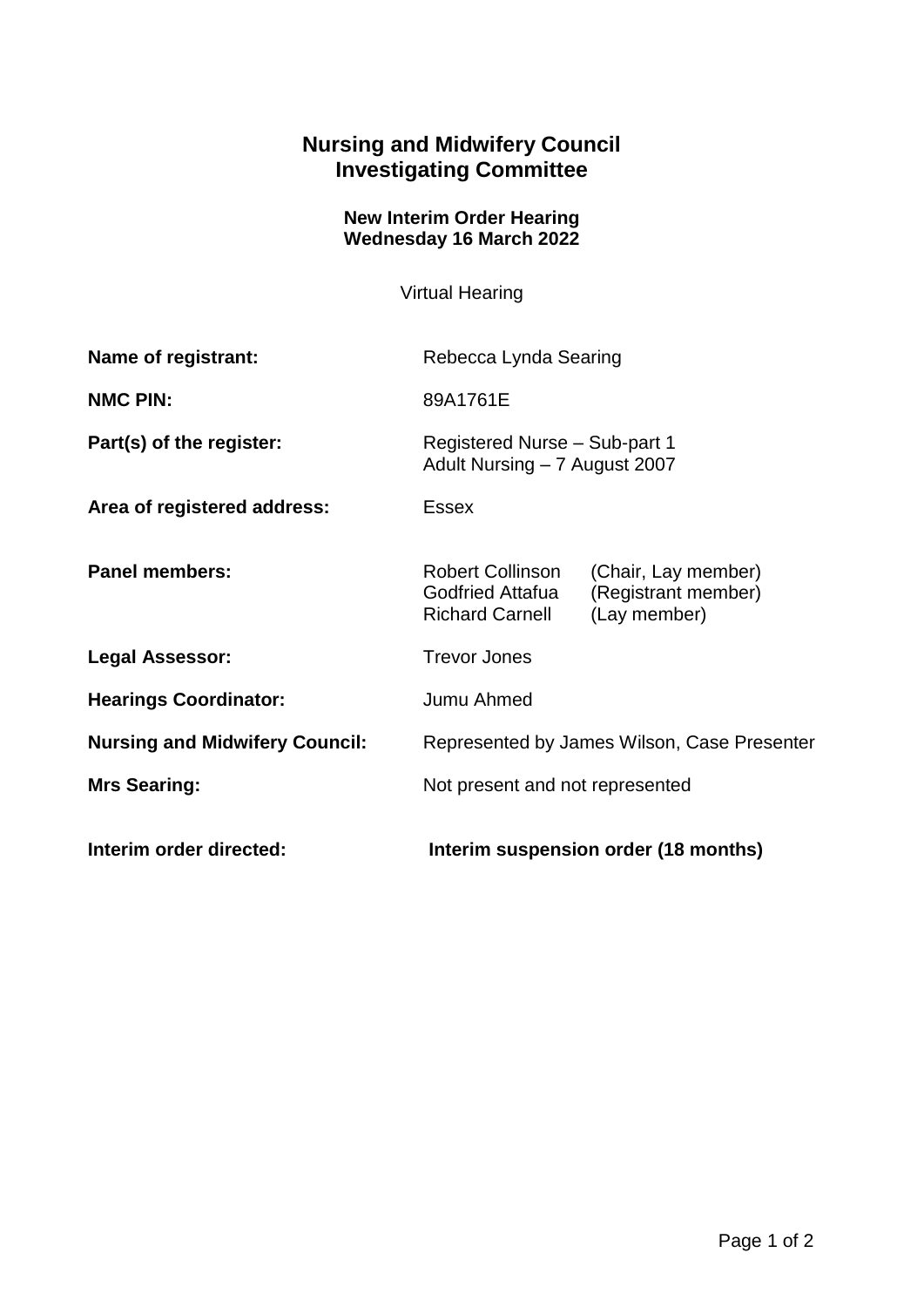## **Nursing and Midwifery Council Investigating Committee**

## **New Interim Order Hearing Wednesday 16 March 2022**

Virtual Hearing

| Name of registrant:                   | Rebecca Lynda Searing                                          |                                                            |
|---------------------------------------|----------------------------------------------------------------|------------------------------------------------------------|
| <b>NMC PIN:</b>                       | 89A1761E                                                       |                                                            |
| Part(s) of the register:              | Registered Nurse - Sub-part 1<br>Adult Nursing - 7 August 2007 |                                                            |
| Area of registered address:           | <b>Essex</b>                                                   |                                                            |
| <b>Panel members:</b>                 | Robert Collinson<br>Godfried Attafua<br><b>Richard Carnell</b> | (Chair, Lay member)<br>(Registrant member)<br>(Lay member) |
| <b>Legal Assessor:</b>                | <b>Trevor Jones</b>                                            |                                                            |
| <b>Hearings Coordinator:</b>          | Jumu Ahmed                                                     |                                                            |
| <b>Nursing and Midwifery Council:</b> | Represented by James Wilson, Case Presenter                    |                                                            |
| <b>Mrs Searing:</b>                   | Not present and not represented                                |                                                            |
| Interim order directed:               | Interim suspension order (18 months)                           |                                                            |